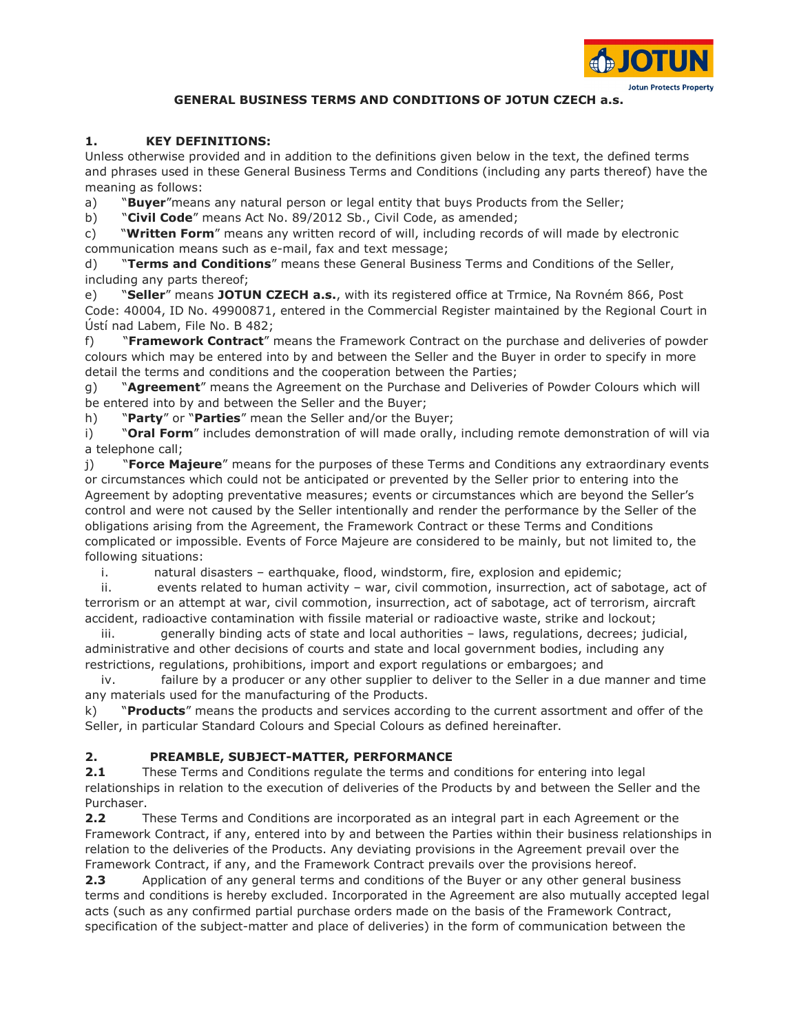

## GENERAL BUSINESS TERMS AND CONDITIONS OF JOTUN CZECH a.s.

### 1. KEY DEFINITIONS:

Unless otherwise provided and in addition to the definitions given below in the text, the defined terms and phrases used in these General Business Terms and Conditions (including any parts thereof) have the meaning as follows:

a) **"Buyer**" means any natural person or legal entity that buys Products from the Seller;

b) "Civil Code" means Act No. 89/2012 Sb., Civil Code, as amended;

c) "Written Form" means any written record of will, including records of will made by electronic communication means such as e-mail, fax and text message;

d) **"Terms and Conditions"** means these General Business Terms and Conditions of the Seller, including any parts thereof;

e) **"Seller"** means JOTUN CZECH a.s., with its registered office at Trmice, Na Rovném 866, Post Code: 40004, ID No. 49900871, entered in the Commercial Register maintained by the Regional Court in Ústí nad Labem, File No. B 482;

f) **"Framework Contract**" means the Framework Contract on the purchase and deliveries of powder colours which may be entered into by and between the Seller and the Buyer in order to specify in more detail the terms and conditions and the cooperation between the Parties;

g) "Agreement" means the Agreement on the Purchase and Deliveries of Powder Colours which will be entered into by and between the Seller and the Buyer;

h) "Party" or "Parties" mean the Seller and/or the Buyer;

i) **"Oral Form**" includes demonstration of will made orally, including remote demonstration of will via a telephone call;

j) **"Force Majeure**" means for the purposes of these Terms and Conditions any extraordinary events or circumstances which could not be anticipated or prevented by the Seller prior to entering into the Agreement by adopting preventative measures; events or circumstances which are beyond the Seller's control and were not caused by the Seller intentionally and render the performance by the Seller of the obligations arising from the Agreement, the Framework Contract or these Terms and Conditions complicated or impossible. Events of Force Majeure are considered to be mainly, but not limited to, the following situations:

i. natural disasters – earthquake, flood, windstorm, fire, explosion and epidemic;

 ii. events related to human activity – war, civil commotion, insurrection, act of sabotage, act of terrorism or an attempt at war, civil commotion, insurrection, act of sabotage, act of terrorism, aircraft accident, radioactive contamination with fissile material or radioactive waste, strike and lockout;

 iii. generally binding acts of state and local authorities – laws, regulations, decrees; judicial, administrative and other decisions of courts and state and local government bodies, including any restrictions, regulations, prohibitions, import and export regulations or embargoes; and

 iv. failure by a producer or any other supplier to deliver to the Seller in a due manner and time any materials used for the manufacturing of the Products.

k) "Products" means the products and services according to the current assortment and offer of the Seller, in particular Standard Colours and Special Colours as defined hereinafter.

## 2. PREAMBLE, SUBJECT-MATTER, PERFORMANCE

**2.1** These Terms and Conditions regulate the terms and conditions for entering into legal relationships in relation to the execution of deliveries of the Products by and between the Seller and the Purchaser.

2.2 These Terms and Conditions are incorporated as an integral part in each Agreement or the Framework Contract, if any, entered into by and between the Parties within their business relationships in relation to the deliveries of the Products. Any deviating provisions in the Agreement prevail over the Framework Contract, if any, and the Framework Contract prevails over the provisions hereof.

**2.3** Application of any general terms and conditions of the Buyer or any other general business terms and conditions is hereby excluded. Incorporated in the Agreement are also mutually accepted legal acts (such as any confirmed partial purchase orders made on the basis of the Framework Contract, specification of the subject-matter and place of deliveries) in the form of communication between the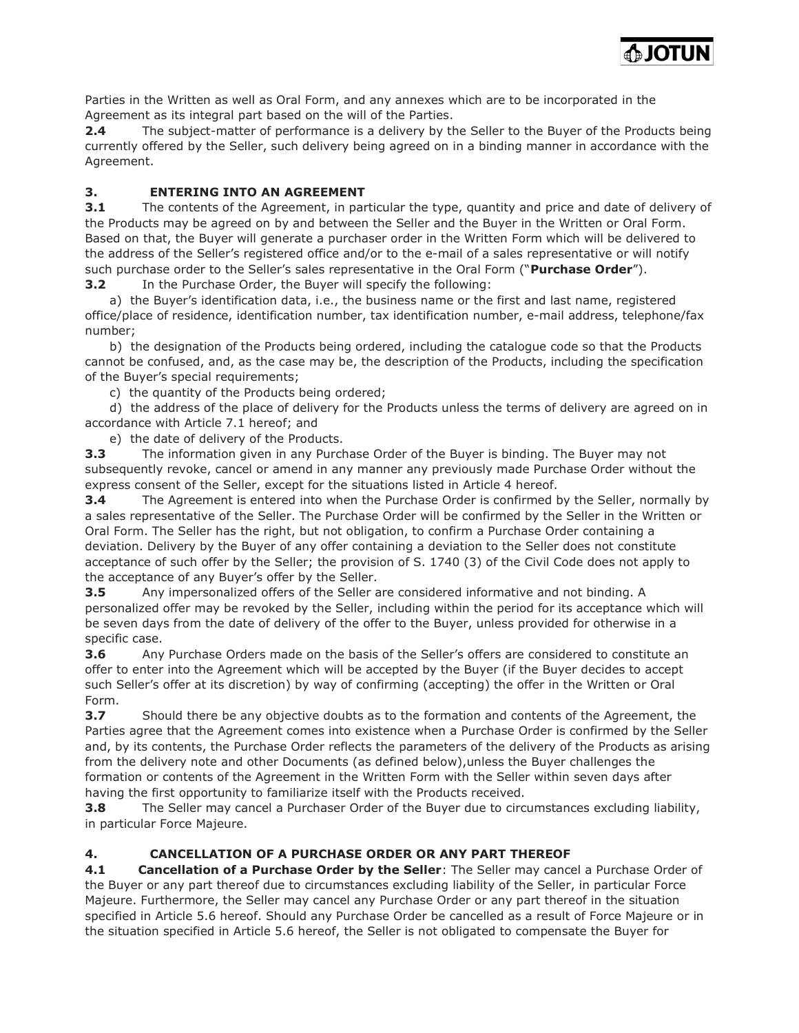**MUTOL** 

Parties in the Written as well as Oral Form, and any annexes which are to be incorporated in the Agreement as its integral part based on the will of the Parties.

2.4 The subject-matter of performance is a delivery by the Seller to the Buyer of the Products being currently offered by the Seller, such delivery being agreed on in a binding manner in accordance with the Agreement.

# 3. ENTERING INTO AN AGREEMENT

**3.1** The contents of the Agreement, in particular the type, quantity and price and date of delivery of the Products may be agreed on by and between the Seller and the Buyer in the Written or Oral Form. Based on that, the Buyer will generate a purchaser order in the Written Form which will be delivered to the address of the Seller's registered office and/or to the e-mail of a sales representative or will notify such purchase order to the Seller's sales representative in the Oral Form ("Purchase Order"). **3.2** In the Purchase Order, the Buyer will specify the following:

 a) the Buyer's identification data, i.e., the business name or the first and last name, registered office/place of residence, identification number, tax identification number, e-mail address, telephone/fax number;

 b) the designation of the Products being ordered, including the catalogue code so that the Products cannot be confused, and, as the case may be, the description of the Products, including the specification of the Buyer's special requirements;

c) the quantity of the Products being ordered;

 d) the address of the place of delivery for the Products unless the terms of delivery are agreed on in accordance with Article 7.1 hereof; and

e) the date of delivery of the Products.

**3.3** The information given in any Purchase Order of the Buyer is binding. The Buyer may not subsequently revoke, cancel or amend in any manner any previously made Purchase Order without the express consent of the Seller, except for the situations listed in Article 4 hereof.

**3.4** The Agreement is entered into when the Purchase Order is confirmed by the Seller, normally by a sales representative of the Seller. The Purchase Order will be confirmed by the Seller in the Written or Oral Form. The Seller has the right, but not obligation, to confirm a Purchase Order containing a deviation. Delivery by the Buyer of any offer containing a deviation to the Seller does not constitute acceptance of such offer by the Seller; the provision of S. 1740 (3) of the Civil Code does not apply to the acceptance of any Buyer's offer by the Seller.

**3.5** Any impersonalized offers of the Seller are considered informative and not binding. A personalized offer may be revoked by the Seller, including within the period for its acceptance which will be seven days from the date of delivery of the offer to the Buyer, unless provided for otherwise in a specific case.

**3.6** Any Purchase Orders made on the basis of the Seller's offers are considered to constitute an offer to enter into the Agreement which will be accepted by the Buyer (if the Buyer decides to accept such Seller's offer at its discretion) by way of confirming (accepting) the offer in the Written or Oral Form.

**3.7** Should there be any objective doubts as to the formation and contents of the Agreement, the Parties agree that the Agreement comes into existence when a Purchase Order is confirmed by the Seller and, by its contents, the Purchase Order reflects the parameters of the delivery of the Products as arising from the delivery note and other Documents (as defined below),unless the Buyer challenges the formation or contents of the Agreement in the Written Form with the Seller within seven days after having the first opportunity to familiarize itself with the Products received.

**3.8** The Seller may cancel a Purchaser Order of the Buyer due to circumstances excluding liability, in particular Force Majeure.

# 4. CANCELLATION OF A PURCHASE ORDER OR ANY PART THEREOF

4.1 Cancellation of a Purchase Order by the Seller: The Seller may cancel a Purchase Order of the Buyer or any part thereof due to circumstances excluding liability of the Seller, in particular Force Majeure. Furthermore, the Seller may cancel any Purchase Order or any part thereof in the situation specified in Article 5.6 hereof. Should any Purchase Order be cancelled as a result of Force Majeure or in the situation specified in Article 5.6 hereof, the Seller is not obligated to compensate the Buyer for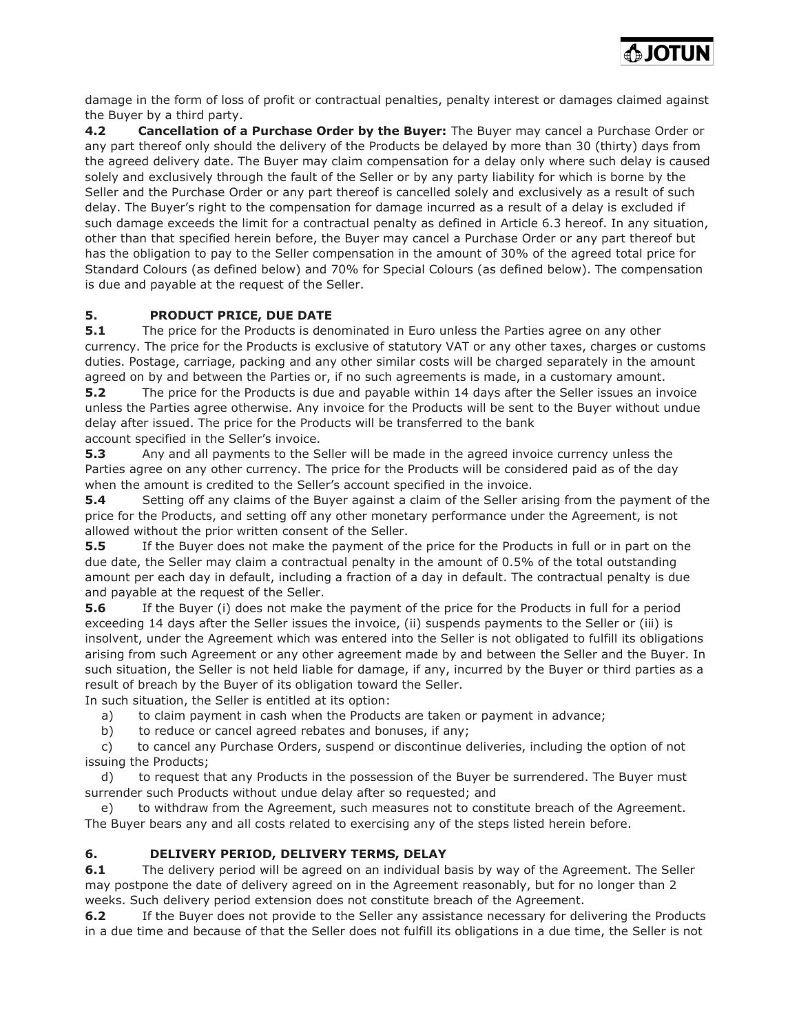

damage in the form of loss of profit or contractual penalties, penalty interest or damages claimed against the Buyer by a third party.

4.2 Cancellation of a Purchase Order by the Buyer: The Buyer may cancel a Purchase Order or any part thereof only should the delivery of the Products be delayed by more than 30 (thirty) days from the agreed delivery date. The Buyer may claim compensation for a delay only where such delay is caused solely and exclusively through the fault of the Seller or by any party liability for which is borne by the Seller and the Purchase Order or any part thereof is cancelled solely and exclusively as a result of such delay. The Buyer's right to the compensation for damage incurred as a result of a delay is excluded if such damage exceeds the limit for a contractual penalty as defined in Article 6.3 hereof. In any situation, other than that specified herein before, the Buyer may cancel a Purchase Order or any part thereof but has the obligation to pay to the Seller compensation in the amount of 30% of the agreed total price for Standard Colours (as defined below) and 70% for Special Colours (as defined below). The compensation is due and payable at the request of the Seller.

## 5. PRODUCT PRICE, DUE DATE

**5.1** The price for the Products is denominated in Euro unless the Parties agree on any other currency. The price for the Products is exclusive of statutory VAT or any other taxes, charges or customs duties. Postage, carriage, packing and any other similar costs will be charged separately in the amount agreed on by and between the Parties or, if no such agreements is made, in a customary amount.

**5.2** The price for the Products is due and payable within 14 days after the Seller issues an invoice unless the Parties agree otherwise. Any invoice for the Products will be sent to the Buyer without undue delay after issued. The price for the Products will be transferred to the bank

account specified in the Seller's invoice.

5.3 Any and all payments to the Seller will be made in the agreed invoice currency unless the Parties agree on any other currency. The price for the Products will be considered paid as of the day when the amount is credited to the Seller's account specified in the invoice.

**5.4** Setting off any claims of the Buyer against a claim of the Seller arising from the payment of the price for the Products, and setting off any other monetary performance under the Agreement, is not allowed without the prior written consent of the Seller.

**5.5** If the Buyer does not make the payment of the price for the Products in full or in part on the due date, the Seller may claim a contractual penalty in the amount of 0.5% of the total outstanding amount per each day in default, including a fraction of a day in default. The contractual penalty is due and payable at the request of the Seller.

**5.6** If the Buyer (i) does not make the payment of the price for the Products in full for a period exceeding 14 days after the Seller issues the invoice, (ii) suspends payments to the Seller or (iii) is insolvent, under the Agreement which was entered into the Seller is not obligated to fulfill its obligations arising from such Agreement or any other agreement made by and between the Seller and the Buyer. In such situation, the Seller is not held liable for damage, if any, incurred by the Buyer or third parties as a result of breach by the Buyer of its obligation toward the Seller.

In such situation, the Seller is entitled at its option:

a) to claim payment in cash when the Products are taken or payment in advance;

b) to reduce or cancel agreed rebates and bonuses, if any;

 c) to cancel any Purchase Orders, suspend or discontinue deliveries, including the option of not issuing the Products;

 d) to request that any Products in the possession of the Buyer be surrendered. The Buyer must surrender such Products without undue delay after so requested; and

 e) to withdraw from the Agreement, such measures not to constitute breach of the Agreement. The Buyer bears any and all costs related to exercising any of the steps listed herein before.

## 6. DELIVERY PERIOD, DELIVERY TERMS, DELAY

**6.1** The delivery period will be agreed on an individual basis by way of the Agreement. The Seller may postpone the date of delivery agreed on in the Agreement reasonably, but for no longer than 2 weeks. Such delivery period extension does not constitute breach of the Agreement.

**6.2** If the Buyer does not provide to the Seller any assistance necessary for delivering the Products in a due time and because of that the Seller does not fulfill its obligations in a due time, the Seller is not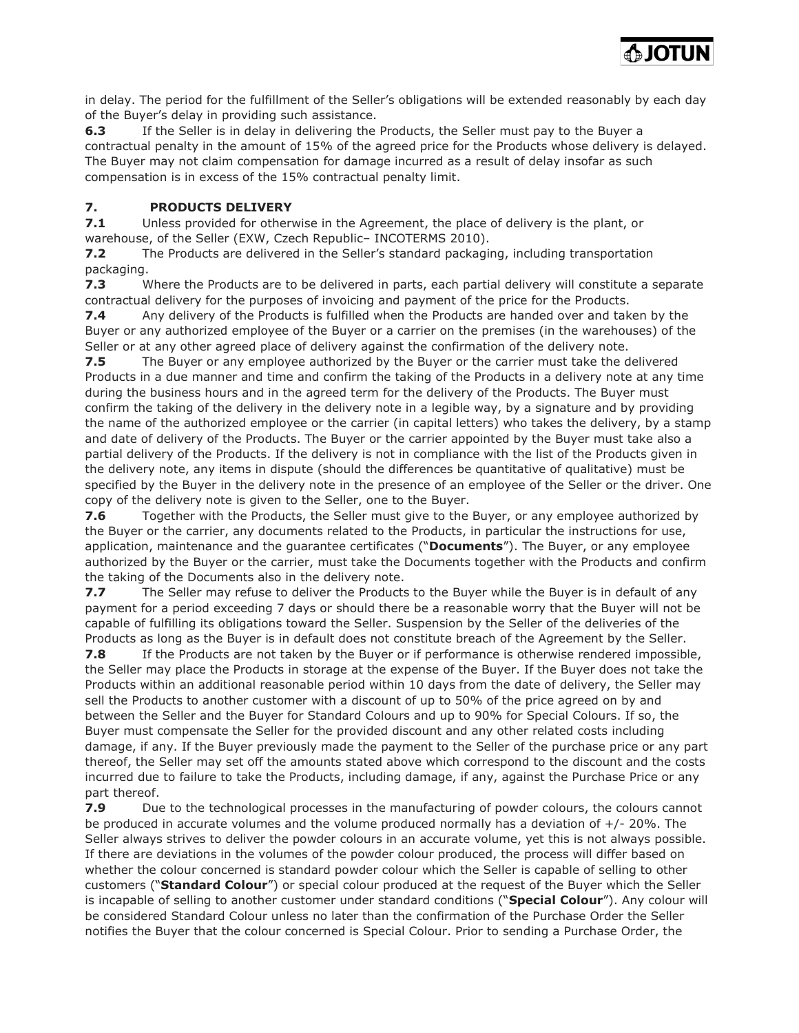

in delay. The period for the fulfillment of the Seller's obligations will be extended reasonably by each day of the Buyer's delay in providing such assistance.

6.3 If the Seller is in delay in delivering the Products, the Seller must pay to the Buyer a contractual penalty in the amount of 15% of the agreed price for the Products whose delivery is delayed. The Buyer may not claim compensation for damage incurred as a result of delay insofar as such compensation is in excess of the 15% contractual penalty limit.

## 7. PRODUCTS DELIVERY

7.1 Unless provided for otherwise in the Agreement, the place of delivery is the plant, or warehouse, of the Seller (EXW, Czech Republic– INCOTERMS 2010).

7.2 The Products are delivered in the Seller's standard packaging, including transportation packaging.

7.3 Where the Products are to be delivered in parts, each partial delivery will constitute a separate contractual delivery for the purposes of invoicing and payment of the price for the Products.

7.4 Any delivery of the Products is fulfilled when the Products are handed over and taken by the Buyer or any authorized employee of the Buyer or a carrier on the premises (in the warehouses) of the Seller or at any other agreed place of delivery against the confirmation of the delivery note.

**7.5** The Buyer or any employee authorized by the Buyer or the carrier must take the delivered Products in a due manner and time and confirm the taking of the Products in a delivery note at any time during the business hours and in the agreed term for the delivery of the Products. The Buyer must confirm the taking of the delivery in the delivery note in a legible way, by a signature and by providing the name of the authorized employee or the carrier (in capital letters) who takes the delivery, by a stamp and date of delivery of the Products. The Buyer or the carrier appointed by the Buyer must take also a partial delivery of the Products. If the delivery is not in compliance with the list of the Products given in the delivery note, any items in dispute (should the differences be quantitative of qualitative) must be specified by the Buyer in the delivery note in the presence of an employee of the Seller or the driver. One copy of the delivery note is given to the Seller, one to the Buyer.

7.6 Together with the Products, the Seller must give to the Buyer, or any employee authorized by the Buyer or the carrier, any documents related to the Products, in particular the instructions for use, application, maintenance and the quarantee certificates ("Documents"). The Buyer, or any employee authorized by the Buyer or the carrier, must take the Documents together with the Products and confirm the taking of the Documents also in the delivery note.

7.7 The Seller may refuse to deliver the Products to the Buyer while the Buyer is in default of any payment for a period exceeding 7 days or should there be a reasonable worry that the Buyer will not be capable of fulfilling its obligations toward the Seller. Suspension by the Seller of the deliveries of the Products as long as the Buyer is in default does not constitute breach of the Agreement by the Seller.

**7.8** If the Products are not taken by the Buyer or if performance is otherwise rendered impossible, the Seller may place the Products in storage at the expense of the Buyer. If the Buyer does not take the Products within an additional reasonable period within 10 days from the date of delivery, the Seller may sell the Products to another customer with a discount of up to 50% of the price agreed on by and between the Seller and the Buyer for Standard Colours and up to 90% for Special Colours. If so, the Buyer must compensate the Seller for the provided discount and any other related costs including damage, if any. If the Buyer previously made the payment to the Seller of the purchase price or any part thereof, the Seller may set off the amounts stated above which correspond to the discount and the costs incurred due to failure to take the Products, including damage, if any, against the Purchase Price or any part thereof.

**7.9** Due to the technological processes in the manufacturing of powder colours, the colours cannot be produced in accurate volumes and the volume produced normally has a deviation of +/- 20%. The Seller always strives to deliver the powder colours in an accurate volume, yet this is not always possible. If there are deviations in the volumes of the powder colour produced, the process will differ based on whether the colour concerned is standard powder colour which the Seller is capable of selling to other customers ("Standard Colour") or special colour produced at the request of the Buyer which the Seller is incapable of selling to another customer under standard conditions ("Special Colour"). Any colour will be considered Standard Colour unless no later than the confirmation of the Purchase Order the Seller notifies the Buyer that the colour concerned is Special Colour. Prior to sending a Purchase Order, the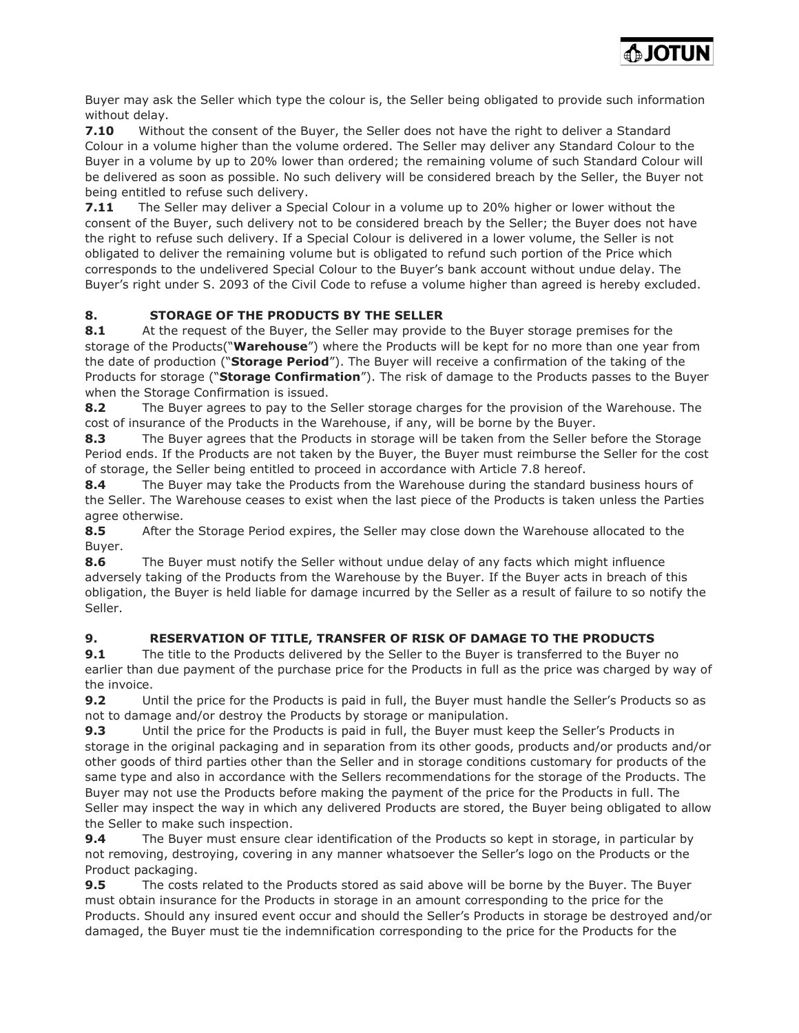

Buyer may ask the Seller which type the colour is, the Seller being obligated to provide such information without delay.

7.10 Without the consent of the Buyer, the Seller does not have the right to deliver a Standard Colour in a volume higher than the volume ordered. The Seller may deliver any Standard Colour to the Buyer in a volume by up to 20% lower than ordered; the remaining volume of such Standard Colour will be delivered as soon as possible. No such delivery will be considered breach by the Seller, the Buyer not being entitled to refuse such delivery.

**7.11** The Seller may deliver a Special Colour in a volume up to 20% higher or lower without the consent of the Buyer, such delivery not to be considered breach by the Seller; the Buyer does not have the right to refuse such delivery. If a Special Colour is delivered in a lower volume, the Seller is not obligated to deliver the remaining volume but is obligated to refund such portion of the Price which corresponds to the undelivered Special Colour to the Buyer's bank account without undue delay. The Buyer's right under S. 2093 of the Civil Code to refuse a volume higher than agreed is hereby excluded.

# 8. STORAGE OF THE PRODUCTS BY THE SELLER

8.1 At the request of the Buyer, the Seller may provide to the Buyer storage premises for the storage of the Products("Warehouse") where the Products will be kept for no more than one year from the date of production ("Storage Period"). The Buyer will receive a confirmation of the taking of the Products for storage ("Storage Confirmation"). The risk of damage to the Products passes to the Buyer when the Storage Confirmation is issued.

8.2 The Buyer agrees to pay to the Seller storage charges for the provision of the Warehouse. The cost of insurance of the Products in the Warehouse, if any, will be borne by the Buyer.

8.3 The Buyer agrees that the Products in storage will be taken from the Seller before the Storage Period ends. If the Products are not taken by the Buyer, the Buyer must reimburse the Seller for the cost of storage, the Seller being entitled to proceed in accordance with Article 7.8 hereof.

8.4 The Buyer may take the Products from the Warehouse during the standard business hours of the Seller. The Warehouse ceases to exist when the last piece of the Products is taken unless the Parties agree otherwise.

8.5 After the Storage Period expires, the Seller may close down the Warehouse allocated to the Buyer.

8.6 The Buyer must notify the Seller without undue delay of any facts which might influence adversely taking of the Products from the Warehouse by the Buyer. If the Buyer acts in breach of this obligation, the Buyer is held liable for damage incurred by the Seller as a result of failure to so notify the Seller.

# 9. RESERVATION OF TITLE, TRANSFER OF RISK OF DAMAGE TO THE PRODUCTS

**9.1** The title to the Products delivered by the Seller to the Buyer is transferred to the Buyer no earlier than due payment of the purchase price for the Products in full as the price was charged by way of the invoice.

9.2 Until the price for the Products is paid in full, the Buyer must handle the Seller's Products so as not to damage and/or destroy the Products by storage or manipulation.

9.3 Until the price for the Products is paid in full, the Buyer must keep the Seller's Products in storage in the original packaging and in separation from its other goods, products and/or products and/or other goods of third parties other than the Seller and in storage conditions customary for products of the same type and also in accordance with the Sellers recommendations for the storage of the Products. The Buyer may not use the Products before making the payment of the price for the Products in full. The Seller may inspect the way in which any delivered Products are stored, the Buyer being obligated to allow the Seller to make such inspection.

9.4 The Buyer must ensure clear identification of the Products so kept in storage, in particular by not removing, destroying, covering in any manner whatsoever the Seller's logo on the Products or the Product packaging.

**9.5** The costs related to the Products stored as said above will be borne by the Buyer. The Buyer must obtain insurance for the Products in storage in an amount corresponding to the price for the Products. Should any insured event occur and should the Seller's Products in storage be destroyed and/or damaged, the Buyer must tie the indemnification corresponding to the price for the Products for the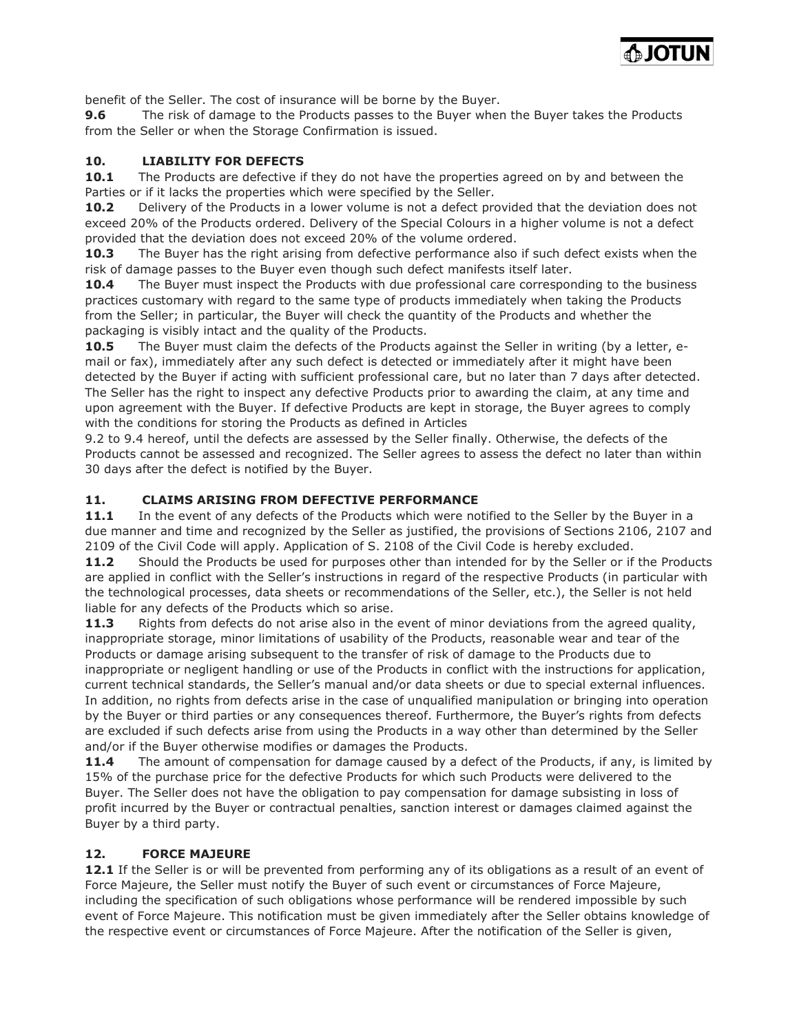

benefit of the Seller. The cost of insurance will be borne by the Buyer.

**9.6** The risk of damage to the Products passes to the Buyer when the Buyer takes the Products from the Seller or when the Storage Confirmation is issued.

#### 10. LIABILITY FOR DEFECTS

**10.1** The Products are defective if they do not have the properties agreed on by and between the Parties or if it lacks the properties which were specified by the Seller.

10.2 Delivery of the Products in a lower volume is not a defect provided that the deviation does not exceed 20% of the Products ordered. Delivery of the Special Colours in a higher volume is not a defect provided that the deviation does not exceed 20% of the volume ordered.

**10.3** The Buyer has the right arising from defective performance also if such defect exists when the risk of damage passes to the Buyer even though such defect manifests itself later.

**10.4** The Buyer must inspect the Products with due professional care corresponding to the business practices customary with regard to the same type of products immediately when taking the Products from the Seller; in particular, the Buyer will check the quantity of the Products and whether the packaging is visibly intact and the quality of the Products.

10.5 The Buyer must claim the defects of the Products against the Seller in writing (by a letter, email or fax), immediately after any such defect is detected or immediately after it might have been detected by the Buyer if acting with sufficient professional care, but no later than 7 days after detected. The Seller has the right to inspect any defective Products prior to awarding the claim, at any time and upon agreement with the Buyer. If defective Products are kept in storage, the Buyer agrees to comply with the conditions for storing the Products as defined in Articles

9.2 to 9.4 hereof, until the defects are assessed by the Seller finally. Otherwise, the defects of the Products cannot be assessed and recognized. The Seller agrees to assess the defect no later than within 30 days after the defect is notified by the Buyer.

#### 11. CLAIMS ARISING FROM DEFECTIVE PERFORMANCE

11.1 In the event of any defects of the Products which were notified to the Seller by the Buyer in a due manner and time and recognized by the Seller as justified, the provisions of Sections 2106, 2107 and 2109 of the Civil Code will apply. Application of S. 2108 of the Civil Code is hereby excluded.

11.2 Should the Products be used for purposes other than intended for by the Seller or if the Products are applied in conflict with the Seller's instructions in regard of the respective Products (in particular with the technological processes, data sheets or recommendations of the Seller, etc.), the Seller is not held liable for any defects of the Products which so arise.

11.3 Rights from defects do not arise also in the event of minor deviations from the agreed quality, inappropriate storage, minor limitations of usability of the Products, reasonable wear and tear of the Products or damage arising subsequent to the transfer of risk of damage to the Products due to inappropriate or negligent handling or use of the Products in conflict with the instructions for application, current technical standards, the Seller's manual and/or data sheets or due to special external influences. In addition, no rights from defects arise in the case of unqualified manipulation or bringing into operation by the Buyer or third parties or any consequences thereof. Furthermore, the Buyer's rights from defects are excluded if such defects arise from using the Products in a way other than determined by the Seller and/or if the Buyer otherwise modifies or damages the Products.

11.4 The amount of compensation for damage caused by a defect of the Products, if any, is limited by 15% of the purchase price for the defective Products for which such Products were delivered to the Buyer. The Seller does not have the obligation to pay compensation for damage subsisting in loss of profit incurred by the Buyer or contractual penalties, sanction interest or damages claimed against the Buyer by a third party.

#### 12. FORCE MAJEURE

12.1 If the Seller is or will be prevented from performing any of its obligations as a result of an event of Force Majeure, the Seller must notify the Buyer of such event or circumstances of Force Majeure, including the specification of such obligations whose performance will be rendered impossible by such event of Force Majeure. This notification must be given immediately after the Seller obtains knowledge of the respective event or circumstances of Force Majeure. After the notification of the Seller is given,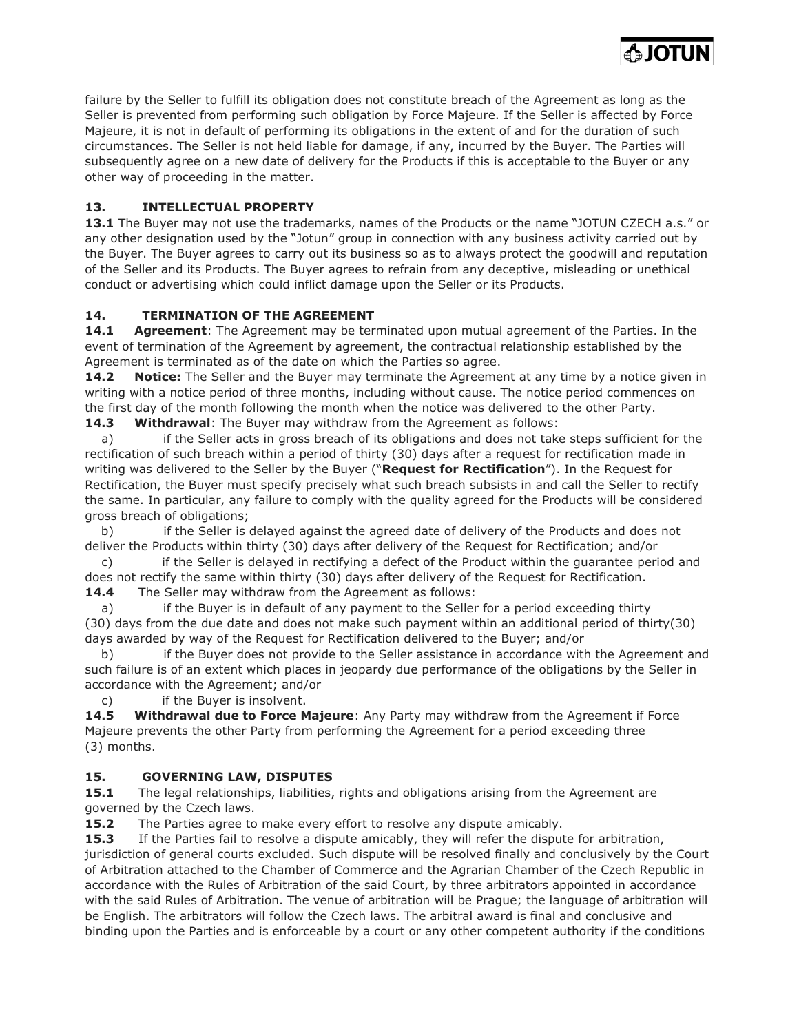failure by the Seller to fulfill its obligation does not constitute breach of the Agreement as long as the Seller is prevented from performing such obligation by Force Majeure. If the Seller is affected by Force Majeure, it is not in default of performing its obligations in the extent of and for the duration of such circumstances. The Seller is not held liable for damage, if any, incurred by the Buyer. The Parties will subsequently agree on a new date of delivery for the Products if this is acceptable to the Buyer or any other way of proceeding in the matter.

**DIOTUN** 

# 13. INTELLECTUAL PROPERTY

13.1 The Buyer may not use the trademarks, names of the Products or the name "JOTUN CZECH a.s." or any other designation used by the "Jotun" group in connection with any business activity carried out by the Buyer. The Buyer agrees to carry out its business so as to always protect the goodwill and reputation of the Seller and its Products. The Buyer agrees to refrain from any deceptive, misleading or unethical conduct or advertising which could inflict damage upon the Seller or its Products.

## 14. TERMINATION OF THE AGREEMENT

**14.1 Agreement:** The Agreement may be terminated upon mutual agreement of the Parties. In the event of termination of the Agreement by agreement, the contractual relationship established by the Agreement is terminated as of the date on which the Parties so agree.

**14.2** Notice: The Seller and the Buyer may terminate the Agreement at any time by a notice given in writing with a notice period of three months, including without cause. The notice period commences on the first day of the month following the month when the notice was delivered to the other Party.

**14.3** Withdrawal: The Buyer may withdraw from the Agreement as follows:

 a) if the Seller acts in gross breach of its obligations and does not take steps sufficient for the rectification of such breach within a period of thirty (30) days after a request for rectification made in writing was delivered to the Seller by the Buyer ("Request for Rectification"). In the Request for Rectification, the Buyer must specify precisely what such breach subsists in and call the Seller to rectify the same. In particular, any failure to comply with the quality agreed for the Products will be considered gross breach of obligations;

 b) if the Seller is delayed against the agreed date of delivery of the Products and does not deliver the Products within thirty (30) days after delivery of the Request for Rectification; and/or

 c) if the Seller is delayed in rectifying a defect of the Product within the guarantee period and does not rectify the same within thirty (30) days after delivery of the Request for Rectification. **14.4** The Seller may withdraw from the Agreement as follows:

a) if the Buyer is in default of any payment to the Seller for a period exceeding thirty (30) days from the due date and does not make such payment within an additional period of thirty(30) days awarded by way of the Request for Rectification delivered to the Buyer; and/or

 b) if the Buyer does not provide to the Seller assistance in accordance with the Agreement and such failure is of an extent which places in jeopardy due performance of the obligations by the Seller in accordance with the Agreement; and/or

c) if the Buyer is insolvent.

14.5 Withdrawal due to Force Majeure: Any Party may withdraw from the Agreement if Force Majeure prevents the other Party from performing the Agreement for a period exceeding three (3) months.

## 15. GOVERNING LAW, DISPUTES

**15.1** The legal relationships, liabilities, rights and obligations arising from the Agreement are governed by the Czech laws.

**15.2** The Parties agree to make every effort to resolve any dispute amicably.

15.3 If the Parties fail to resolve a dispute amicably, they will refer the dispute for arbitration, jurisdiction of general courts excluded. Such dispute will be resolved finally and conclusively by the Court of Arbitration attached to the Chamber of Commerce and the Agrarian Chamber of the Czech Republic in accordance with the Rules of Arbitration of the said Court, by three arbitrators appointed in accordance with the said Rules of Arbitration. The venue of arbitration will be Prague; the language of arbitration will be English. The arbitrators will follow the Czech laws. The arbitral award is final and conclusive and binding upon the Parties and is enforceable by a court or any other competent authority if the conditions